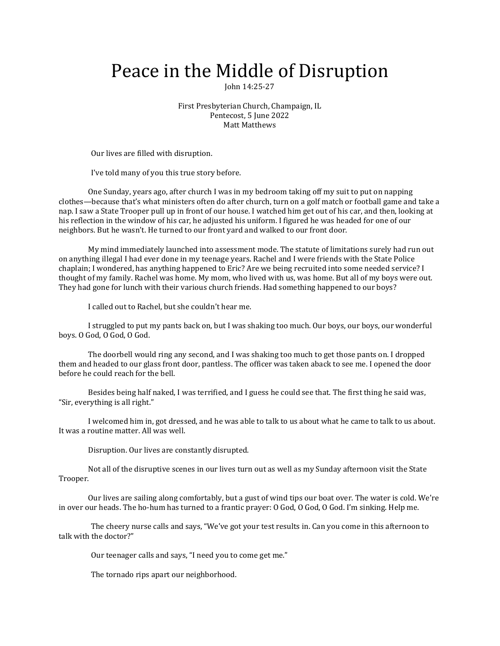## Peace in the Middle of Disruption

John 14:25-27

First Presbyterian Church, Champaign, IL Pentecost, 5 June 2022 Matt Matthews

Our lives are filled with disruption.

I've told many of you this true story before.

One Sunday, years ago, after church I was in my bedroom taking off my suit to put on napping clothes—because that's what ministers often do after church, turn on a golf match or football game and take a nap. I saw a State Trooper pull up in front of our house. I watched him get out of his car, and then, looking at his reflection in the window of his car, he adjusted his uniform. I figured he was headed for one of our neighbors. But he wasn't. He turned to our front yard and walked to our front door.

My mind immediately launched into assessment mode. The statute of limitations surely had run out on anything illegal I had ever done in my teenage years. Rachel and I were friends with the State Police chaplain; I wondered, has anything happened to Eric? Are we being recruited into some needed service? I thought of my family. Rachel was home. My mom, who lived with us, was home. But all of my boys were out. They had gone for lunch with their various church friends. Had something happened to our boys?

I called out to Rachel, but she couldn't hear me.

I struggled to put my pants back on, but I was shaking too much. Our boys, our boys, our wonderful boys. O God, O God, O God.

The doorbell would ring any second, and I was shaking too much to get those pants on. I dropped them and headed to our glass front door, pantless. The officer was taken aback to see me. I opened the door before he could reach for the bell.

Besides being half naked, I was terrified, and I guess he could see that. The first thing he said was, "Sir, everything is all right."

I welcomed him in, got dressed, and he was able to talk to us about what he came to talk to us about. It was a routine matter. All was well.

Disruption. Our lives are constantly disrupted.

Not all of the disruptive scenes in our lives turn out as well as my Sunday afternoon visit the State Trooper.

Our lives are sailing along comfortably, but a gust of wind tips our boat over. The water is cold. We're in over our heads. The ho-hum has turned to a frantic prayer: O God, O God, O God. I'm sinking. Help me.

 The cheery nurse calls and says, "We've got your test results in. Can you come in this afternoon to talk with the doctor?"

Our teenager calls and says, "I need you to come get me."

The tornado rips apart our neighborhood.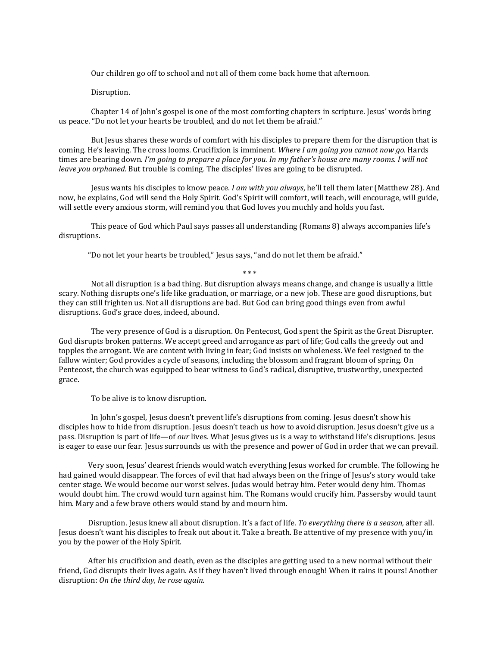Our children go off to school and not all of them come back home that afternoon.

## Disruption.

 Chapter 14 of John's gospel is one of the most comforting chapters in scripture. Jesus' words bring us peace. "Do not let your hearts be troubled, and do not let them be afraid."

 But Jesus shares these words of comfort with his disciples to prepare them for the disruption that is coming. He's leaving. The cross looms. Crucifixion is imminent. *Where I am going you cannot now go.* Hards times are bearing down. *I'm going to prepare a place for you. In my father's house are many rooms. I will not leave you orphaned.* But trouble is coming. The disciples' lives are going to be disrupted.

 Jesus wants his disciples to know peace. *I am with you always*, he'll tell them later (Matthew 28). And now, he explains, God will send the Holy Spirit. God's Spirit will comfort, will teach, will encourage, will guide, will settle every anxious storm, will remind you that God loves you muchly and holds you fast.

 This peace of God which Paul says passes all understanding (Romans 8) always accompanies life's disruptions.

"Do not let your hearts be troubled," Jesus says, "and do not let them be afraid."

\* \* \*

 Not all disruption is a bad thing. But disruption always means change, and change is usually a little scary. Nothing disrupts one's life like graduation, or marriage, or a new job. These are good disruptions, but they can still frighten us. Not all disruptions are bad. But God can bring good things even from awful disruptions. God's grace does, indeed, abound.

 The very presence of God is a disruption. On Pentecost, God spent the Spirit as the Great Disrupter. God disrupts broken patterns. We accept greed and arrogance as part of life; God calls the greedy out and topples the arrogant. We are content with living in fear; God insists on wholeness. We feel resigned to the fallow winter; God provides a cycle of seasons, including the blossom and fragrant bloom of spring. On Pentecost, the church was equipped to bear witness to God's radical, disruptive, trustworthy, unexpected grace.

To be alive is to know disruption.

 In John's gospel, Jesus doesn't prevent life's disruptions from coming. Jesus doesn't show his disciples how to hide from disruption. Jesus doesn't teach us how to avoid disruption. Jesus doesn't give us a pass. Disruption is part of life—of *our* lives. What Jesus gives us is a way to withstand life's disruptions. Jesus is eager to ease our fear. Jesus surrounds us with the presence and power of God in order that we can prevail.

Very soon, Jesus' dearest friends would watch everything Jesus worked for crumble. The following he had gained would disappear. The forces of evil that had always been on the fringe of Jesus's story would take center stage. We would become our worst selves. Judas would betray him. Peter would deny him. Thomas would doubt him. The crowd would turn against him. The Romans would crucify him. Passersby would taunt him. Mary and a few brave others would stand by and mourn him.

Disruption. Jesus knew all about disruption. It's a fact of life. *To everything there is a season,* after all. Jesus doesn't want his disciples to freak out about it. Take a breath. Be attentive of my presence with you/in you by the power of the Holy Spirit.

After his crucifixion and death, even as the disciples are getting used to a new normal without their friend, God disrupts their lives again. As if they haven't lived through enough! When it rains it pours! Another disruption: *On the third day, he rose again.*